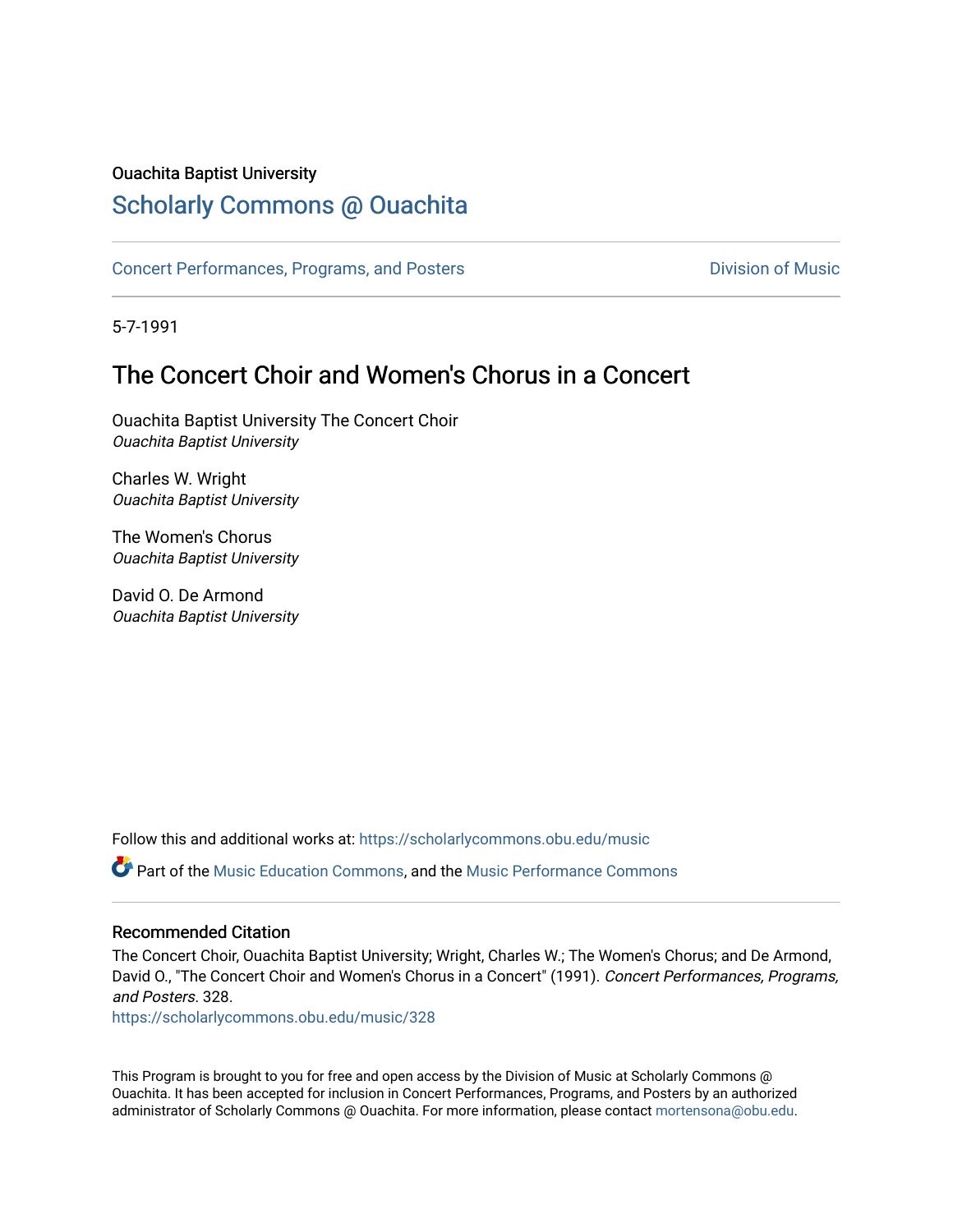### Ouachita Baptist University

# [Scholarly Commons @ Ouachita](https://scholarlycommons.obu.edu/)

[Concert Performances, Programs, and Posters](https://scholarlycommons.obu.edu/music) **Division of Music** Division of Music

5-7-1991

# The Concert Choir and Women's Chorus in a Concert

Ouachita Baptist University The Concert Choir Ouachita Baptist University

Charles W. Wright Ouachita Baptist University

The Women's Chorus Ouachita Baptist University

David O. De Armond Ouachita Baptist University

Follow this and additional works at: [https://scholarlycommons.obu.edu/music](https://scholarlycommons.obu.edu/music?utm_source=scholarlycommons.obu.edu%2Fmusic%2F328&utm_medium=PDF&utm_campaign=PDFCoverPages) 

Part of the [Music Education Commons,](http://network.bepress.com/hgg/discipline/1246?utm_source=scholarlycommons.obu.edu%2Fmusic%2F328&utm_medium=PDF&utm_campaign=PDFCoverPages) and the [Music Performance Commons](http://network.bepress.com/hgg/discipline/1128?utm_source=scholarlycommons.obu.edu%2Fmusic%2F328&utm_medium=PDF&utm_campaign=PDFCoverPages) 

#### Recommended Citation

The Concert Choir, Ouachita Baptist University; Wright, Charles W.; The Women's Chorus; and De Armond, David O., "The Concert Choir and Women's Chorus in a Concert" (1991). Concert Performances, Programs, and Posters. 328.

[https://scholarlycommons.obu.edu/music/328](https://scholarlycommons.obu.edu/music/328?utm_source=scholarlycommons.obu.edu%2Fmusic%2F328&utm_medium=PDF&utm_campaign=PDFCoverPages) 

This Program is brought to you for free and open access by the Division of Music at Scholarly Commons @ Ouachita. It has been accepted for inclusion in Concert Performances, Programs, and Posters by an authorized administrator of Scholarly Commons @ Ouachita. For more information, please contact [mortensona@obu.edu](mailto:mortensona@obu.edu).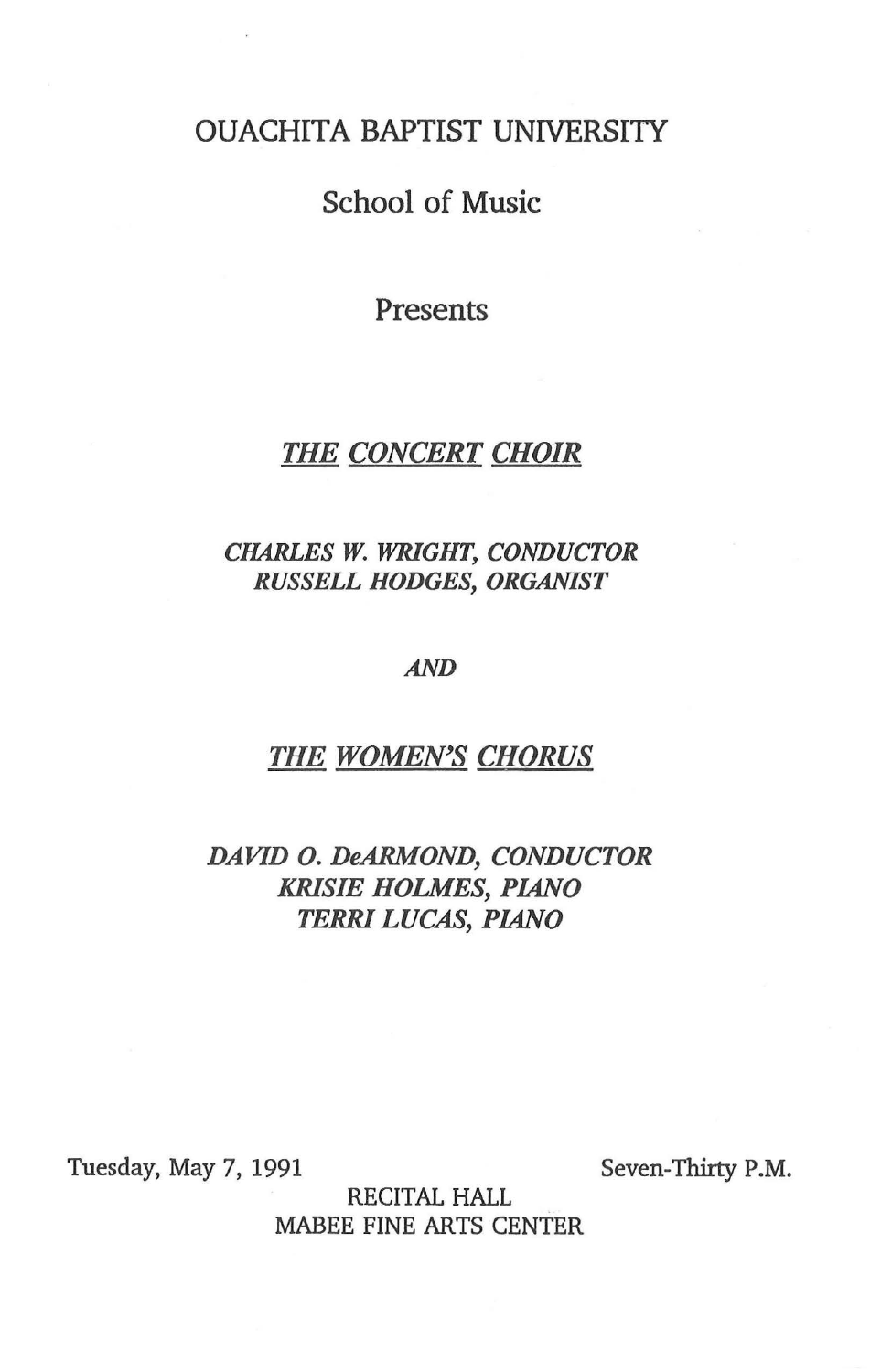## OUACHITA BAPTIST UNIVERSI1Y

# School of Music

Presents

# *THE CONCERT CHOIR*

## *CHARLES W. WRIGHT, CONDUCTOR RUSSELL HODGES, ORGANIST*

#### *AND*

### *THE WOMEN'S CHORUS*

## *DAVID 0. DeARMOND, CONDUCTOR KRISIE HOLMES, PIANO TERRI LUCAS, PIANO*

Tuesday, May 7, 1991

Seven-Thirty P.M.

RECITAL HALL MABEE FINE ARTS CENTER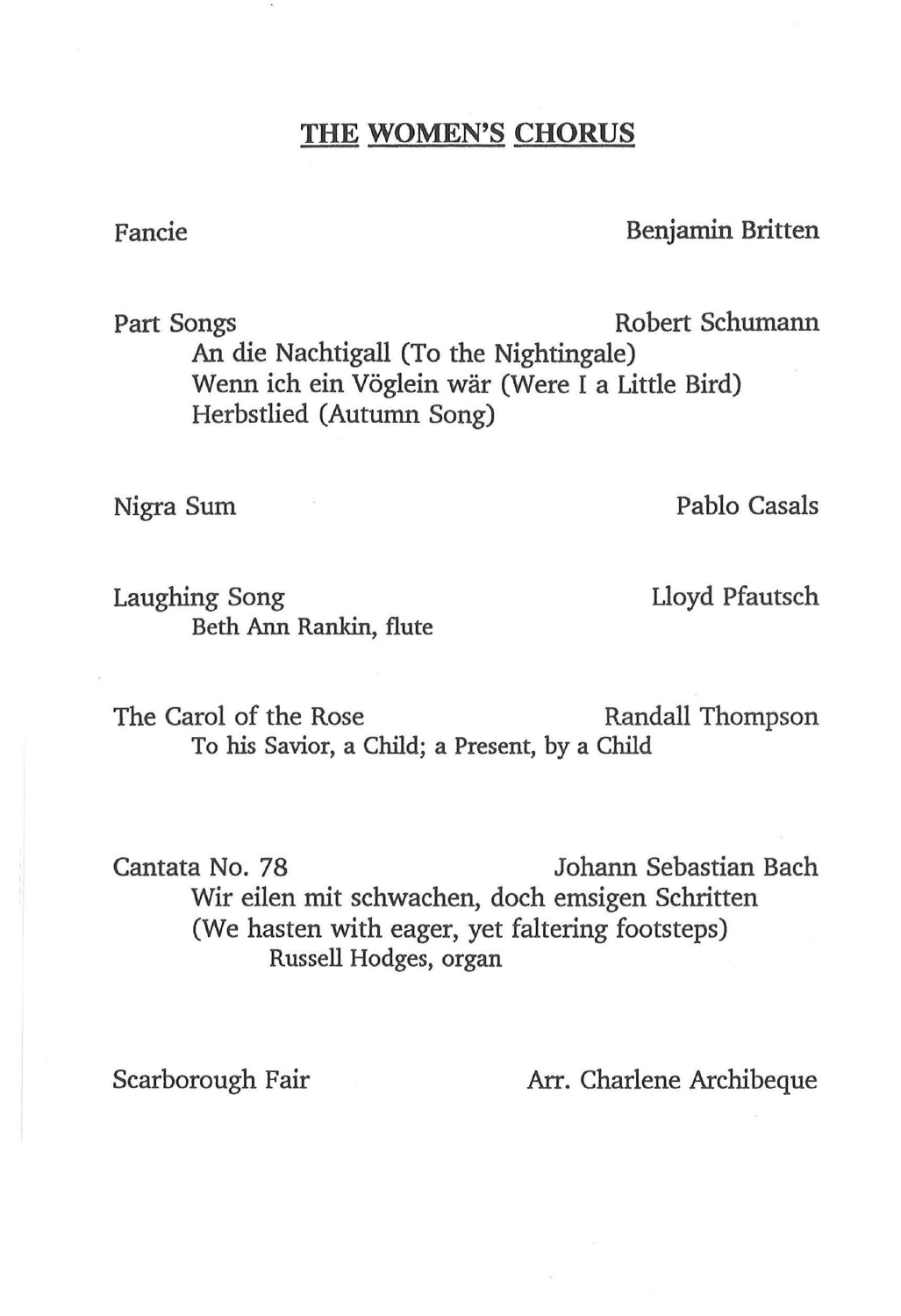## **THE WOMEN'S CHORUS**

## Fancie Benjamin Britten

Part Songs **Robert Schumann** An die Nachtigall (To the Nightingale) Wenn ich ein Vöglein wär (Were I a Little Bird) Herbstlied (Autumn Song)

Laughing Song The Contract Contract Lloyd Pfautsch Beth Ann Rankin, flute

Nigra Sum Pablo Casals

The Carol of the Rose Randall Thompson To his Savior, a Child; a Present, by a Child

Cantata No. 78 Johann Sebastian Bach Wir eilen mit schwachen, doch emsigen Schritten (We hasten with eager, yet faltering footsteps) Russell Hodges, organ

Scarborough Fair **Arr.** Charlene Archibeque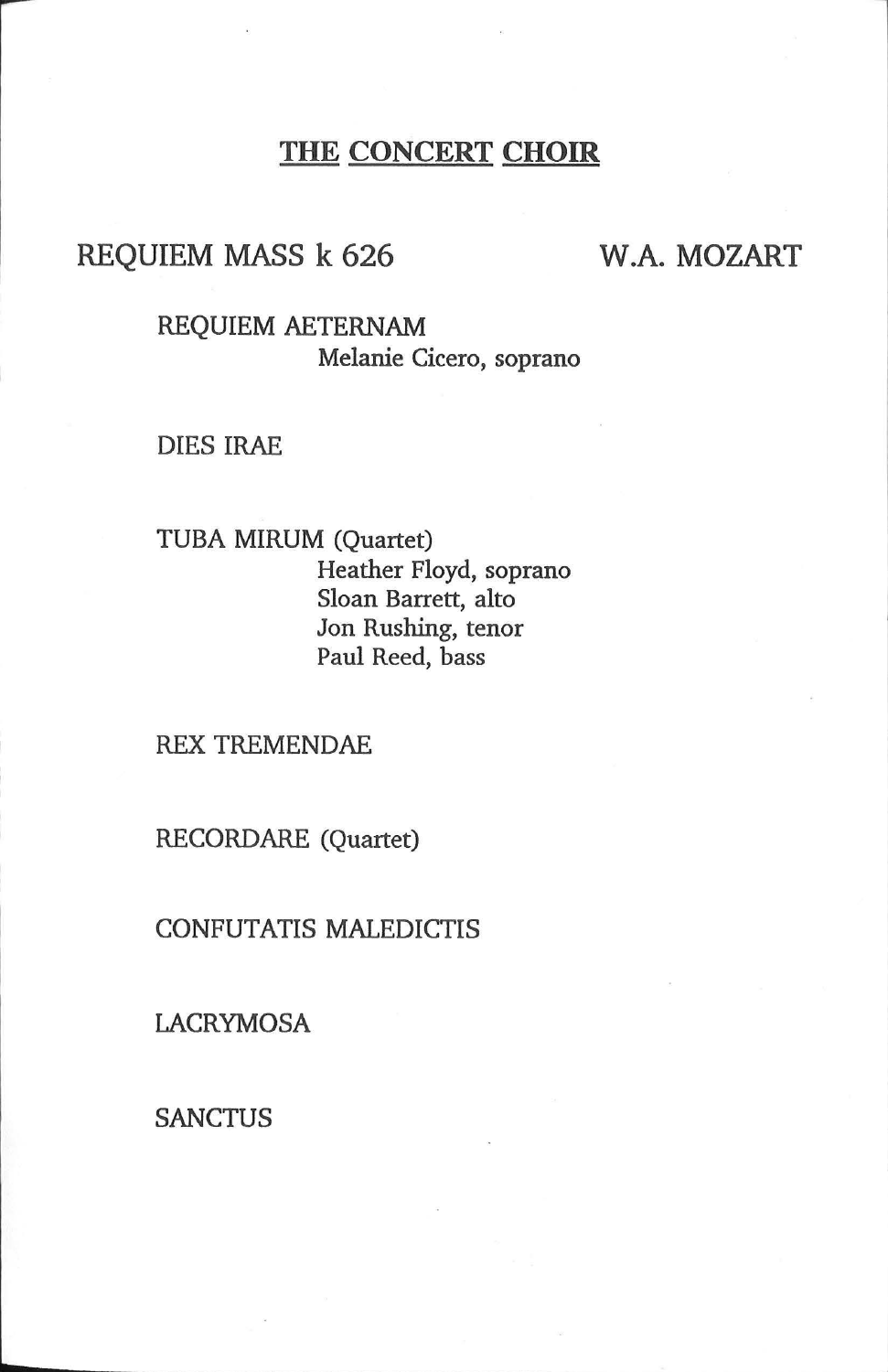# THE CONCERT CHOIR

## REQUIEM MASS k 626

## W.A. MOZART

REQUIEM AETERNAM Melanie Cicero, soprano

DIES IRAE

TUBA MIRUM (Quartet) Heather Floyd, soprano Sloan Barrett, alto Jon Rushing, tenor Paul Reed, bass

REX TREMENDAE

RECORDARE (Quartet)

CONFUTATIS MALEDICTIS

LACRYMOSA

**SANCTUS**